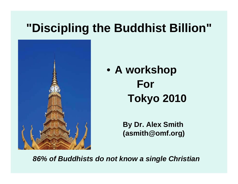#### **"Discipling the Buddhist Billion"**



• **A workshop For Tokyo 2010**

> **By Dr. Alex Smith (asmith@omf.org)**

*86% of Buddhists do not know a single Christian*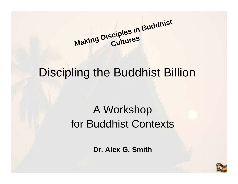**Maki ng Disci ples i n Buddhist Cultu res**

#### Discipling the Buddhist Billion

## A Workshop for Buddhist Contexts

**Dr. Alex G. Smith**

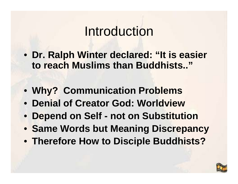## Introduction

- **Dr. Ralph Winter declared: "It is easier to reach Muslims than Buddhists.."**
- **Why? Communication Problems**
- **Denial of Creator God: Worldview**
- **Depend on Self - not on Substitution**
- **Same Words but Meaning Discrepancy**
- **Therefore How to Disciple Buddhists?**

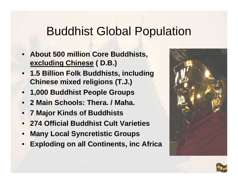#### Buddhist Global Population

- **About 500 million Core Buddhists, excluding Chinese ( D.B.)**
- **1.5 Billion Folk Buddhists, including Chinese mixed religions (T.J.)**
- **1,000 Buddhist People Groups**
- **2 Main Schools: Thera. / Maha.**
- **7 Major Kinds of Buddhists**
- **274 Official Buddhist Cult Varieties**
- **Many Local Syncretistic Groups**
- **Exploding on all Continents, inc Africa**



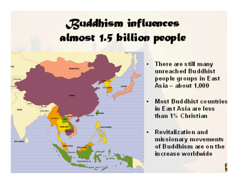## Buddhism influences almost 1.5 billion people



- There are still many unreached Buddhist people groups in East As  $ia - about 1,000$
- **Most Buddhist countries**  $\blacksquare$ in East Asia are less than 1% Christian
- Revitalization and  $\blacksquare$ missionary movements of Buddhism are on the in crease worldwide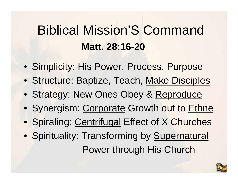## Biblical Mission'S Command **Matt. 28:16-20**

- Simplicity: His Power, Process, Purpose
- **Structure: Baptize, Teach, Make Disciples**
- Strategy: New Ones Obey & Reproduce
- Synergism: Corporate Growth out to Ethne
- **Spiraling: Centrifugal Effect of X Churches**
- Spirituality: Transforming by Supernatural Power through His Church

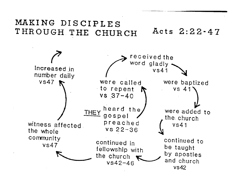#### MAKING DISCIPLES Acts 2:22-47 THROUGH THE CHURCH

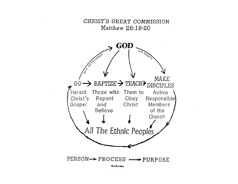CHRIST'S GREAT COMMISSION Matthew 28:18-20

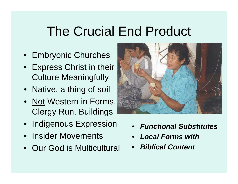## The Crucial End Product

- Embryonic Churches
- Express Christ in their Culture Meaningfully
- Native, a thing of soil
- <u>Not</u> Western in Forms,|| Clergy Run, Buildings
- Indigenous Expression
- Insider Movements
- Our God is Multicultural



- •*Functional Substitutes*
- •*Local Forms with*
- •*Biblical Content*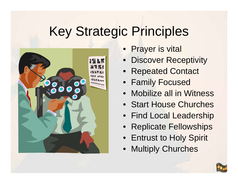# Key Strategic Principles



- Prayer is vital
- $\bullet$ Discover Receptivity
- Repeated Contact
- Family Focused
- $\bullet$ Mobilize all in Witness
- Start House Churches
- Find Local Leadership
- Replicate Fellowships
- Entrust to Holy Spirit
- •Multiply Churches

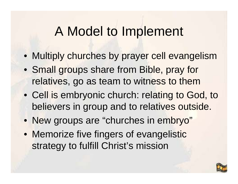## A Model to Implement

- Multiply churches by prayer cell evangelism
- Small groups share from Bible, pray for relatives, go as team to witness to them
- Cell is embryonic church: relating to God, to believers in group and to relatives outside.
- New groups are "churches in embryo"
- Memorize five fingers of evangelistic strategy to fulfill Christ's mission

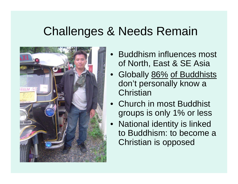### Challenges & Needs Remain



- • Buddhism influences most of North, East & SE Asia
- • Globally 86% of Buddhists don't personally know a **Christian**
- Church in most Buddhist groups is only 1% or less
- National identity is linked to Buddhism: to become a Christian is opposed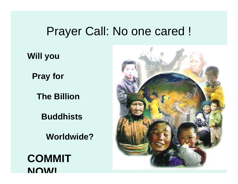#### Prayer Call: No one cared !

**Will you** 

**Pray for**

**The Billion**

**Buddhists** 

**Worldwide?**

**COMMIT NOW!**

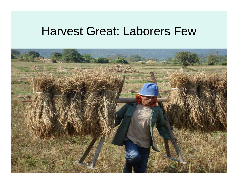#### Harvest Great: Laborers Few

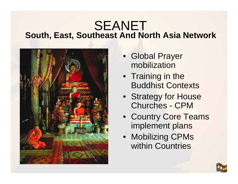#### **South, East, Southeast And North Asia Network** SEANET



- Global Prayer mobilization
- Training in the Buddhist Contexts
- Strategy for House Churches - CPM
- Country Core Teams implement plans
- Mobilizing CPMs within Countries